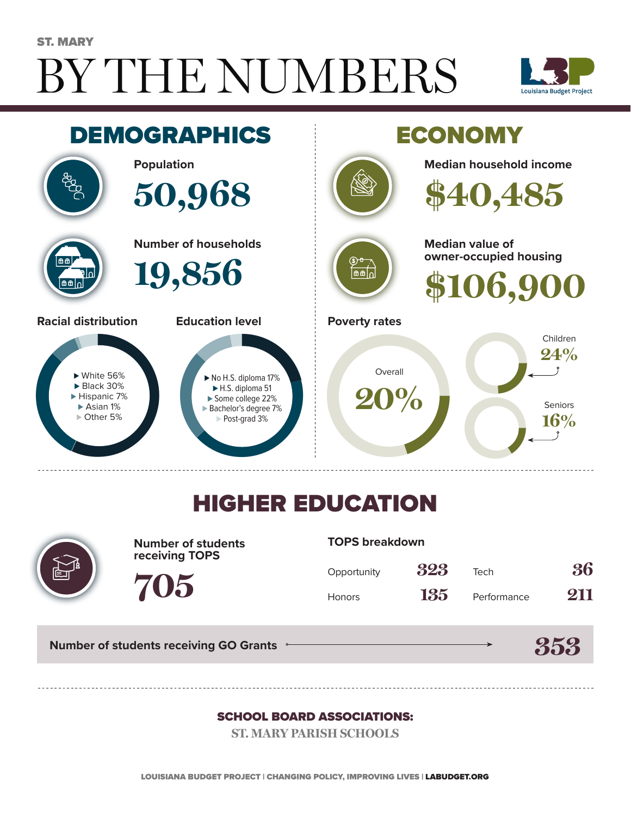# BY THE NUMBERS ST. MARY





## HIGHER EDUCATION



**Number of students receiving TOPS**

#### **TOPS breakdown**

| Opportunity   | 323 | Tech        | 36  |
|---------------|-----|-------------|-----|
| <b>Honors</b> | 135 | Performance | 211 |

**Number of students receiving GO Grants**

**705**

#### **353**

#### SCHOOL BOARD ASSOCIATIONS:

**ST. MARY PARISH SCHOOLS**